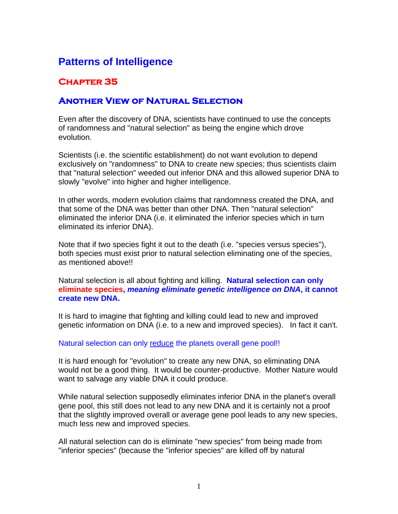## **Patterns of Intelligence**

## **Chapter 35**

## **Another View of Natural Selection**

Even after the discovery of DNA, scientists have continued to use the concepts of randomness and "natural selection" as being the engine which drove evolution.

Scientists (i.e. the scientific establishment) do not want evolution to depend exclusively on "randomness" to DNA to create new species; thus scientists claim that "natural selection" weeded out inferior DNA and this allowed superior DNA to slowly "evolve" into higher and higher intelligence.

In other words, modern evolution claims that randomness created the DNA, and that some of the DNA was better than other DNA. Then "natural selection" eliminated the inferior DNA (i.e. it eliminated the inferior species which in turn eliminated its inferior DNA).

Note that if two species fight it out to the death (i.e. "species versus species"), both species must exist prior to natural selection eliminating one of the species, as mentioned above!!

Natural selection is all about fighting and killing. **Natural selection can only eliminate species,** *meaning eliminate genetic intelligence on DNA***, it cannot create new DNA.**

It is hard to imagine that fighting and killing could lead to new and improved genetic information on DNA (i.e. to a new and improved species). In fact it can't.

## Natural selection can only reduce the planets overall gene pool!!

It is hard enough for "evolution" to create any new DNA, so eliminating DNA would not be a good thing. It would be counter-productive. Mother Nature would want to salvage any viable DNA it could produce.

While natural selection supposedly eliminates inferior DNA in the planet's overall gene pool, this still does not lead to any new DNA and it is certainly not a proof that the slightly improved overall or average gene pool leads to any new species, much less new and improved species.

All natural selection can do is eliminate "new species" from being made from "inferior species" (because the "inferior species" are killed off by natural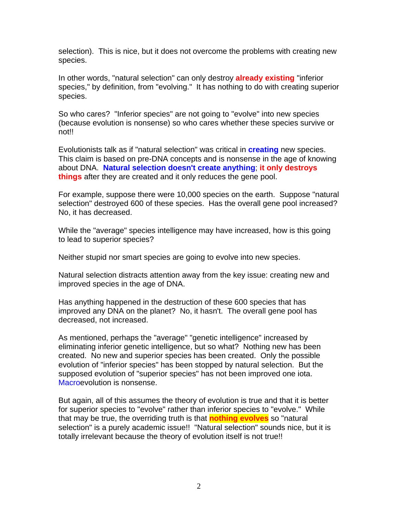selection). This is nice, but it does not overcome the problems with creating new species.

In other words, "natural selection" can only destroy **already existing** "inferior species," by definition, from "evolving." It has nothing to do with creating superior species.

So who cares? "Inferior species" are not going to "evolve" into new species (because evolution is nonsense) so who cares whether these species survive or not!!

Evolutionists talk as if "natural selection" was critical in **creating** new species. This claim is based on pre-DNA concepts and is nonsense in the age of knowing about DNA. **Natural selection doesn't create anything**; **it only destroys things** after they are created and it only reduces the gene pool.

For example, suppose there were 10,000 species on the earth. Suppose "natural selection" destroyed 600 of these species. Has the overall gene pool increased? No, it has decreased.

While the "average" species intelligence may have increased, how is this going to lead to superior species?

Neither stupid nor smart species are going to evolve into new species.

Natural selection distracts attention away from the key issue: creating new and improved species in the age of DNA.

Has anything happened in the destruction of these 600 species that has improved any DNA on the planet? No, it hasn't. The overall gene pool has decreased, not increased.

As mentioned, perhaps the "average" "genetic intelligence" increased by eliminating inferior genetic intelligence, but so what? Nothing new has been created. No new and superior species has been created. Only the possible evolution of "inferior species" has been stopped by natural selection. But the supposed evolution of "superior species" has not been improved one iota. Macroevolution is nonsense.

But again, all of this assumes the theory of evolution is true and that it is better for superior species to "evolve" rather than inferior species to "evolve." While that may be true, the overriding truth is that **nothing evolves** so "natural selection" is a purely academic issue!! "Natural selection" sounds nice, but it is totally irrelevant because the theory of evolution itself is not true!!